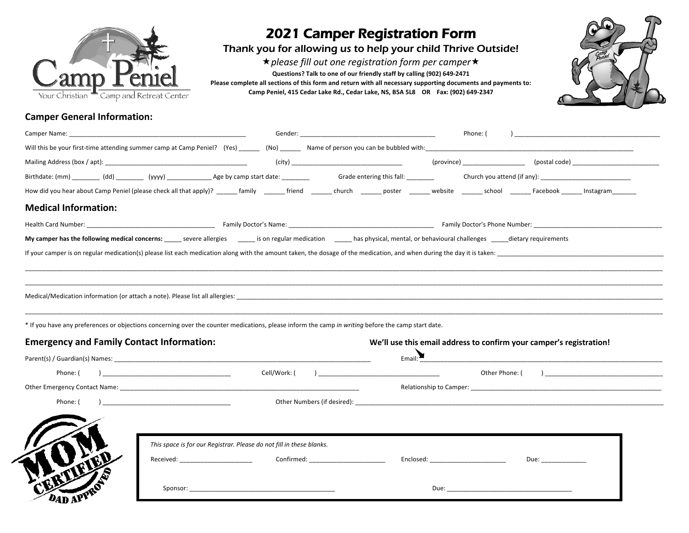

## 2021 Camper Registration Form

Thank you for allowing us to help your child Thrive Outside!

\* please fill out one registration form per camper<sup>\*</sup> **Questions? Talk to one of our friendly staff by calling (902) 649-2471 Please complete all sections of this form and return with all necessary supporting documents and payments to: Camp Peniel, 415 Cedar Lake Rd., Cedar Lake, NS, B5A 5L8 OR Fax: (902) 649-2347**



## **Camper General Information:**

| Camper Name: the contract of the contract of the contract of the contract of the contract of the contract of the contract of the contract of the contract of the contract of the contract of the contract of the contract of t |                                                    |                                                                                                                                                                                                                                                                                                                                                                                     |                                                |                                                                                                                | Phone: ( | $\overline{a}$      |                                          |
|--------------------------------------------------------------------------------------------------------------------------------------------------------------------------------------------------------------------------------|----------------------------------------------------|-------------------------------------------------------------------------------------------------------------------------------------------------------------------------------------------------------------------------------------------------------------------------------------------------------------------------------------------------------------------------------------|------------------------------------------------|----------------------------------------------------------------------------------------------------------------|----------|---------------------|------------------------------------------|
|                                                                                                                                                                                                                                |                                                    |                                                                                                                                                                                                                                                                                                                                                                                     |                                                |                                                                                                                |          |                     |                                          |
|                                                                                                                                                                                                                                |                                                    |                                                                                                                                                                                                                                                                                                                                                                                     |                                                |                                                                                                                |          |                     |                                          |
|                                                                                                                                                                                                                                |                                                    |                                                                                                                                                                                                                                                                                                                                                                                     |                                                |                                                                                                                |          |                     |                                          |
|                                                                                                                                                                                                                                |                                                    | How did you hear about Camp Peniel (please check all that apply)? ______ family _______ friend _______ church _______ poster _______ website _______ school _______ Facebook ______ Instagram_______                                                                                                                                                                                |                                                |                                                                                                                |          |                     |                                          |
| <b>Medical Information:</b>                                                                                                                                                                                                    |                                                    |                                                                                                                                                                                                                                                                                                                                                                                     |                                                |                                                                                                                |          |                     |                                          |
|                                                                                                                                                                                                                                |                                                    |                                                                                                                                                                                                                                                                                                                                                                                     |                                                |                                                                                                                |          |                     |                                          |
|                                                                                                                                                                                                                                |                                                    | My camper has the following medical concerns: ______ severe allergies ______ is on regular medication ______ has physical, mental, or behavioural challenges _____dietary requirements                                                                                                                                                                                              |                                                |                                                                                                                |          |                     |                                          |
|                                                                                                                                                                                                                                |                                                    |                                                                                                                                                                                                                                                                                                                                                                                     |                                                |                                                                                                                |          |                     |                                          |
|                                                                                                                                                                                                                                |                                                    | Medical/Medication information (or attach a note). Please list all allergies: Networkshipsed and a state of the state of the state of the state of the state of the state of the state of the state of the state of the state<br>* If you have any preferences or objections concerning over the counter medications, please inform the camp in writing before the camp start date. |                                                |                                                                                                                |          |                     |                                          |
|                                                                                                                                                                                                                                |                                                    |                                                                                                                                                                                                                                                                                                                                                                                     |                                                | We'll use this email address to confirm your camper's registration!                                            |          |                     |                                          |
| <b>Emergency and Family Contact Information:</b>                                                                                                                                                                               |                                                    | Parent(s) / Guardian(s) Names: Later and the contract of the contract of the contract of the contract of the contract of the contract of the contract of the contract of the contract of the contract of the contract of the c                                                                                                                                                      |                                                |                                                                                                                |          |                     | Email: <u>New American Communication</u> |
|                                                                                                                                                                                                                                |                                                    |                                                                                                                                                                                                                                                                                                                                                                                     | Cell/Work: (   ) _____________________________ |                                                                                                                |          |                     |                                          |
|                                                                                                                                                                                                                                |                                                    |                                                                                                                                                                                                                                                                                                                                                                                     |                                                |                                                                                                                |          |                     |                                          |
| Phone: (                                                                                                                                                                                                                       | <u> 1989 - John Stein, Amerikaansk politiker (</u> |                                                                                                                                                                                                                                                                                                                                                                                     |                                                |                                                                                                                |          |                     |                                          |
|                                                                                                                                                                                                                                |                                                    | This space is for our Registrar. Please do not fill in these blanks.<br>Received: Confirmed: Confirmed:                                                                                                                                                                                                                                                                             |                                                | Enclosed: National Property of the Contract of the Contract of the Contract of the Contract of the Contract of |          | Due: ______________ |                                          |